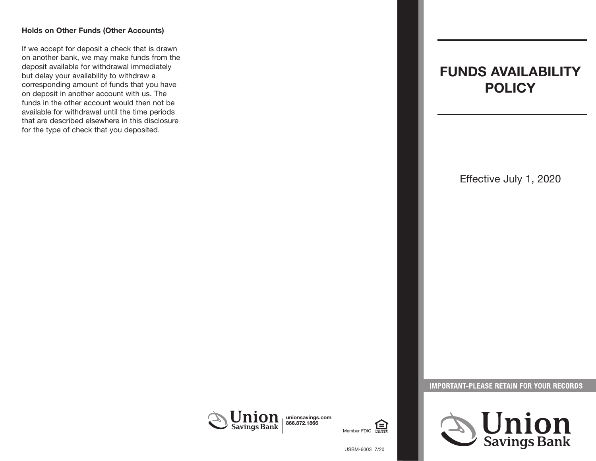#### **Holds on Other Funds (Other Accounts)**

If we accept for deposit a check that is drawn on another bank, we may make funds from the deposit available for withdrawal immediately but delay your availability to withdraw a corresponding amount of funds that you have on deposit in another account with us. The funds in the other account would then not be available for withdrawal until the time periods that are described elsewhere in this disclosure for the type of check that you deposited.

# **FUNDS AVAILABILITY POLICY**

Effective July 1, 2020







**IMPORTANT-PLEASE RETAIN FOR YOUR RECORDS** 

USBM-6003 7/20